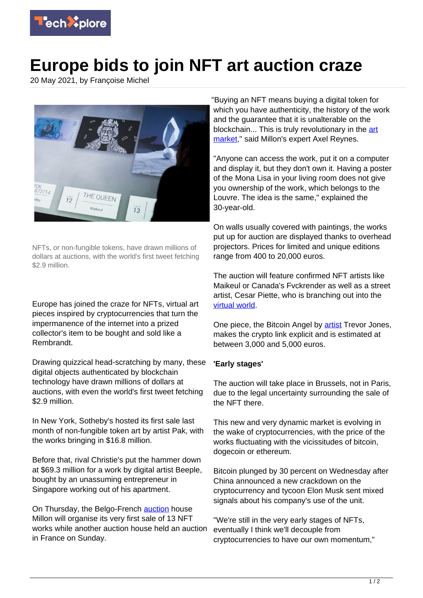

## **Europe bids to join NFT art auction craze**

20 May 2021, by Françoise Michel



NFTs, or non-fungible tokens, have drawn millions of dollars at auctions, with the world's first tweet fetching \$2.9 million.

Europe has joined the craze for NFTs, virtual art pieces inspired by cryptocurrencies that turn the impermanence of the internet into a prized collector's item to be bought and sold like a Rembrandt.

Drawing quizzical head-scratching by many, these digital objects authenticated by blockchain technology have drawn millions of dollars at auctions, with even the world's first tweet fetching \$2.9 million.

In New York, Sotheby's hosted its first sale last month of non-fungible token art by artist Pak, with the works bringing in \$16.8 million.

Before that, rival Christie's put the hammer down at \$69.3 million for a work by digital artist Beeple, bought by an unassuming entrepreneur in Singapore working out of his apartment.

On Thursday, the Belgo-French [auction](https://techxplore.com/tags/auction/) house Millon will organise its very first sale of 13 NFT works while another auction house held an auction in France on Sunday.

"Buying an NFT means buying a digital token for which you have authenticity, the history of the work and the guarantee that it is unalterable on the blockchain... This is truly revolutionary in the [art](https://techxplore.com/tags/art+market/) [market](https://techxplore.com/tags/art+market/)," said Millon's expert Axel Reynes.

"Anyone can access the work, put it on a computer and display it, but they don't own it. Having a poster of the Mona Lisa in your living room does not give you ownership of the work, which belongs to the Louvre. The idea is the same," explained the 30-year-old.

On walls usually covered with paintings, the works put up for auction are displayed thanks to overhead projectors. Prices for limited and unique editions range from 400 to 20,000 euros.

The auction will feature confirmed NFT artists like Maikeul or Canada's Fvckrender as well as a street artist, Cesar Piette, who is branching out into the [virtual world](https://techxplore.com/tags/virtual+world/).

One piece, the Bitcoin Angel by [artist](https://techxplore.com/tags/artist/) Trevor Jones, makes the crypto link explicit and is estimated at between 3,000 and 5,000 euros.

## **'Early stages'**

The auction will take place in Brussels, not in Paris, due to the legal uncertainty surrounding the sale of the NFT there.

This new and very dynamic market is evolving in the wake of cryptocurrencies, with the price of the works fluctuating with the vicissitudes of bitcoin, dogecoin or ethereum.

Bitcoin plunged by 30 percent on Wednesday after China announced a new crackdown on the cryptocurrency and tycoon Elon Musk sent mixed signals about his company's use of the unit.

"We're still in the very early stages of NFTs, eventually I think we'll decouple from cryptocurrencies to have our own momentum,"